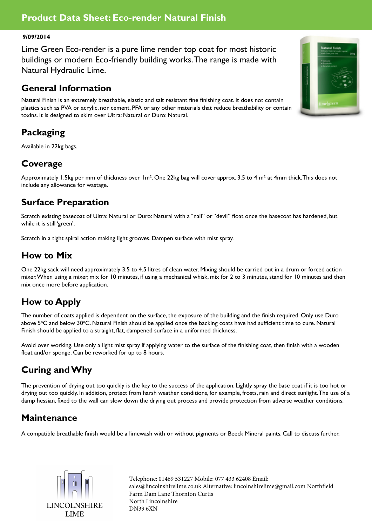#### **Product Data Sheet: Eco-render Natural Finish**

#### **9/09/2014**

Lime Green Eco-render is a pure lime render top coat for most historic buildings or modern Eco-friendly building works. The range is made with Natural Hydraulic Lime.

#### **General Information**

Natural Finish is an extremely breathable, elastic and salt resistant fine finishing coat. It does not contain plastics such as PVA or acrylic, nor cement, PFA or any other materials that reduce breathability or contain toxins. It is designed to skim over Ultra: Natural or Duro: Natural.

# **Packaging**

Available in 22kg bags.

## **Coverage**

Approximately 1.5kg per mm of thickness over 1m<sup>2</sup>. One 22kg bag will cover approx. 3.5 to 4 m<sup>2</sup> at 4mm thick. This does not include any allowance for wastage.

## **Surface Preparation**

Scratch existing basecoat of Ultra: Natural or Duro: Natural with a "nail" or "devil" float once the basecoat has hardened, but while it is still 'green'.

Scratch in a tight spiral action making light grooves. Dampen surface with mist spray.

## **How to Mix**

One 22kg sack will need approximately 3.5 to 4.5 litres of clean water. Mixing should be carried out in a drum or forced action mixer. When using a mixer, mix for 10 minutes, if using a mechanical whisk, mix for 2 to 3 minutes, stand for 10 minutes and then mix once more before application.

## **How to Apply**

The number of coats applied is dependent on the surface, the exposure of the building and the finish required. Only use Duro above 5°C and below 30°C. Natural Finish should be applied once the backing coats have had sufficient time to cure. Natural Finish should be applied to a straight, flat, dampened surface in a uniformed thickness.

Avoid over working. Use only a light mist spray if applying water to the surface of the finishing coat, then finish with a wooden float and/or sponge. Can be reworked for up to 8 hours.

# **Curing and Why**

The prevention of drying out too quickly is the key to the success of the application. Lightly spray the base coat if it is too hot or drying out too quickly. In addition, protect from harsh weather conditions, for example, frosts, rain and direct sunlight. The use of a damp hessian, fixed to the wall can slow down the drying out process and provide protection from adverse weather conditions.

## **Maintenance**

A compatible breathable finish would be a limewash with or without pigments or Beeck Mineral paints. Call to discuss further.



Telephone: 01469 531227 Mobile: 077 433 62408 Email: sales@lincolnshirelime.co.uk Alternative: lincolnshirelime@gmail.com Northfield Farm Dam Lane Thornton Curtis North Lincolnshire DN39 6XN